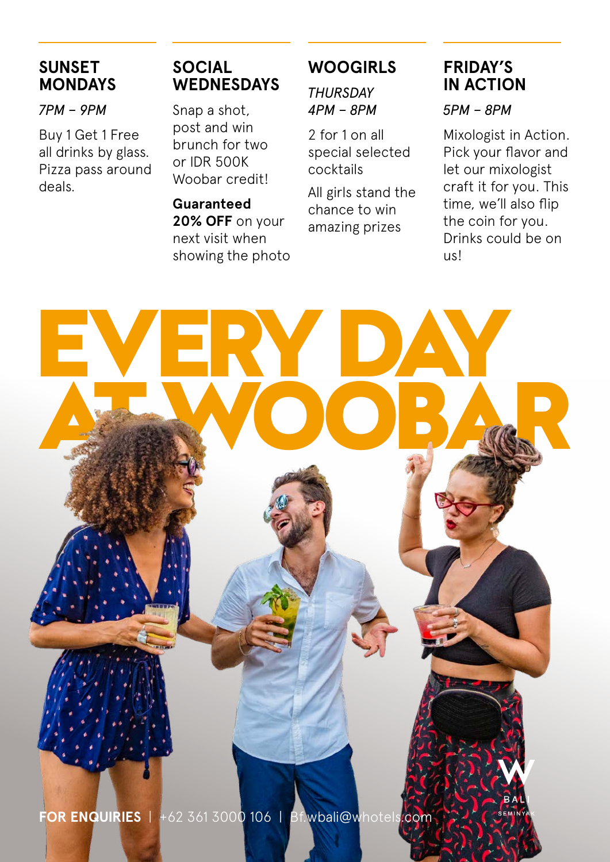## **SUNSET MONDAYS**

*7PM – 9PM*

Buy 1 Get 1 Free all drinks by glass. Pizza pass around deals.

## **SOCIAL WEDNESDAYS**

Snap a shot, post and win brunch for two or IDR 500K Woobar credit!

**Guaranteed 20% OFF** on your next visit when showing the photo

## **WOOGIRLS**

*THURSDAY 4PM – 8PM*

2 for 1 on all special selected cocktails

All girls stand the chance to win amazing prizes

## **FRIDAY'S IN ACTION**

*5PM – 8PM*

Mixologist in Action. Pick your flavor and let our mixologist craft it for you. This time, we'll also flip the coin for you. Drinks could be on us!

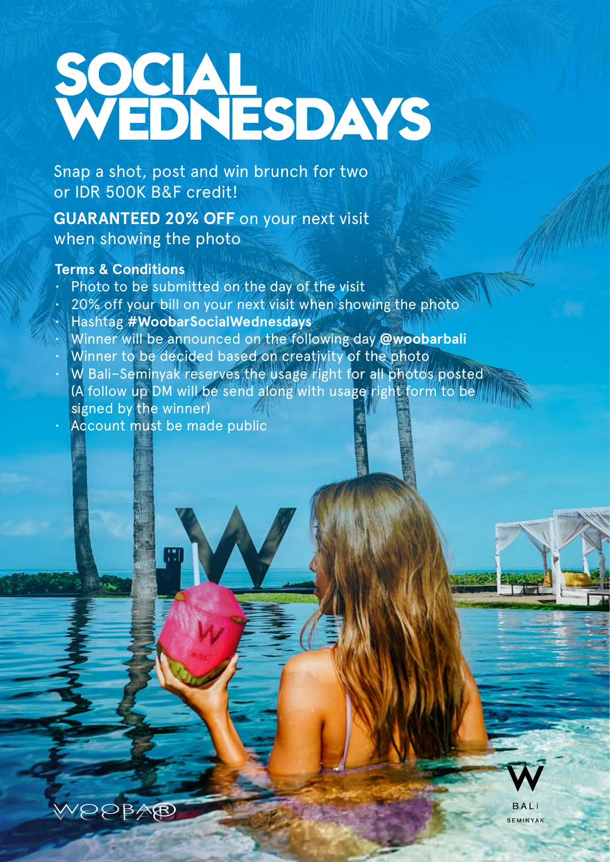## **SOCIAL WEDNESDAYS**

Snap a shot, post and win brunch for two or IDR 500K B&F credit!

**GUARANTEED 20% OFF** on your next visit when showing the photo

### **Terms & Conditions**

WOOPAP

- Photo to be submitted on the day of the visit
- 20% off your bill on your next visit when showing the photo
- Hashtag **#WoobarSocialWednesdays**
- Winner will be announced on the following day **@woobarbali**
- Winner to be decided based on creativity of the photo
- W Bali–Seminyak reserves the usage right for all photos posted (A follow up DM will be send along with usage right form to be signed by the winner)
- Account must be made public



SEMINYAK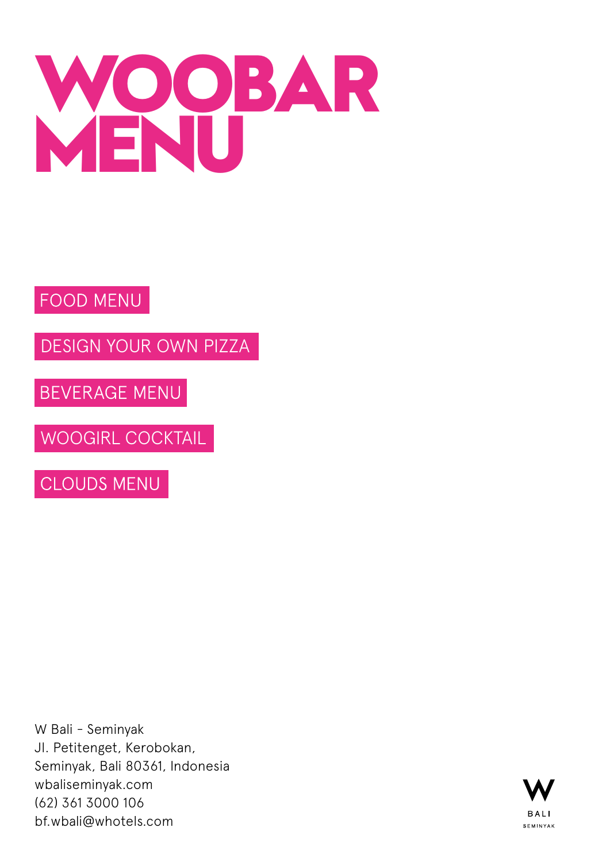

## FOOD MENU

[DESIGN YOUR OWN PIZZA](#page-6-0)

BEVERAGE MENU

[WOOGIRL COCKTAIL](#page-24-0)

**CLOUDS MENU** 

W Bali - Seminyak Jl. Petitenget, Kerobokan, Seminyak, Bali 80361, Indonesia wbaliseminyak.com (62) 361 3000 106 bf.wbali@whotels.com

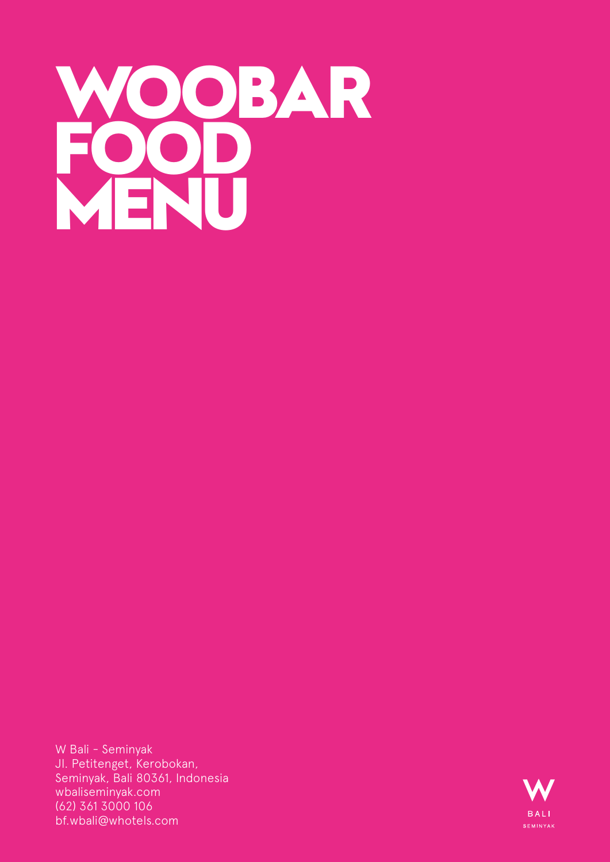

W Bali - Seminyak Jl. Petitenget, Kerobokan, Seminyak, Bali 80361, Indonesia wbaliseminyak.com (62) 361 3000 106 bf.wbali@whotels.com

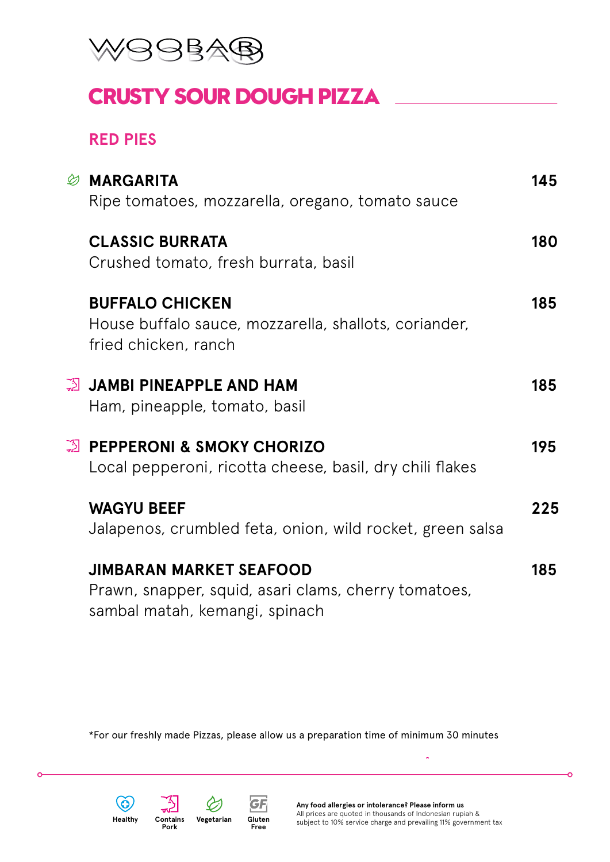

## **CRUSTY SOUR DOUGH PIZZA**

### **RED PIES**

| <b>CLASSIC BURRATA</b><br>Crushed tomato, fresh burrata, basil<br><b>BUFFALO CHICKEN</b><br>House buffalo sauce, mozzarella, shallots, coriander,<br>fried chicken, ranch<br>္သို JAMBI PINEAPPLE AND HAM<br>Ham, pineapple, tomato, basil<br>္ဗြာ PEPPERONI & SMOKY CHORIZO<br>Local pepperoni, ricotta cheese, basil, dry chili flakes<br><b>WAGYU BEEF</b><br>Jalapenos, crumbled feta, onion, wild rocket, green salsa<br><b>JIMBARAN MARKET SEAFOOD</b><br>Prawn, snapper, squid, asari clams, cherry tomatoes,<br>sambal matah, kemangi, spinach | <b><i>S</i></b> MARGARITA<br>Ripe tomatoes, mozzarella, oregano, tomato sauce | 145 |
|--------------------------------------------------------------------------------------------------------------------------------------------------------------------------------------------------------------------------------------------------------------------------------------------------------------------------------------------------------------------------------------------------------------------------------------------------------------------------------------------------------------------------------------------------------|-------------------------------------------------------------------------------|-----|
|                                                                                                                                                                                                                                                                                                                                                                                                                                                                                                                                                        |                                                                               | 180 |
|                                                                                                                                                                                                                                                                                                                                                                                                                                                                                                                                                        |                                                                               | 185 |
|                                                                                                                                                                                                                                                                                                                                                                                                                                                                                                                                                        |                                                                               | 185 |
|                                                                                                                                                                                                                                                                                                                                                                                                                                                                                                                                                        |                                                                               | 195 |
|                                                                                                                                                                                                                                                                                                                                                                                                                                                                                                                                                        |                                                                               | 225 |
|                                                                                                                                                                                                                                                                                                                                                                                                                                                                                                                                                        |                                                                               | 185 |

\*For our freshly made Pizzas, please allow us a preparation time of minimum 30 minutes



**r** 

**Pork**



**Gluten Free**

**GF** 



ò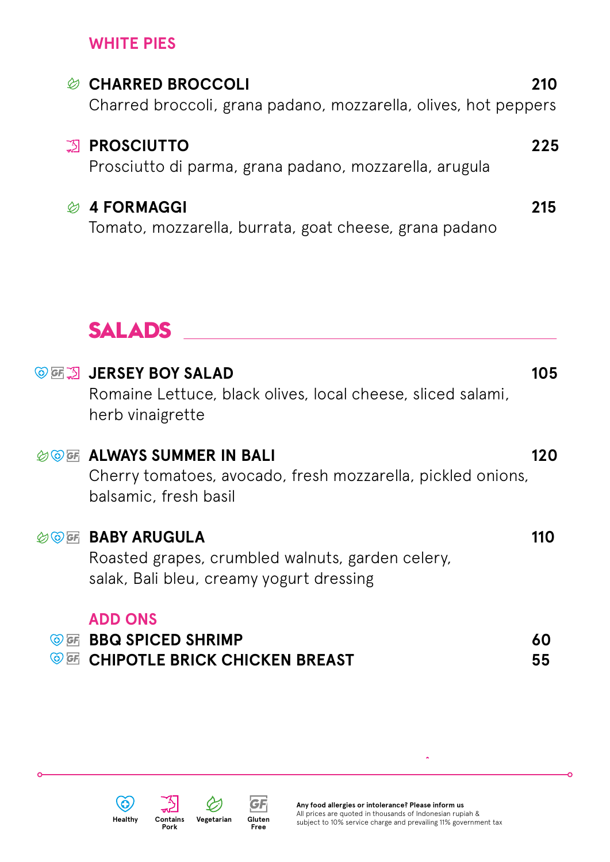## **WHITE PIES**

| <b>CHARRED BROCCOLI</b><br>D)<br>Charred broccoli, grana padano, mozzarella, olives, hot peppers | 210 |
|--------------------------------------------------------------------------------------------------|-----|
| <b>ES PROSCIUTTO</b><br>Prosciutto di parma, grana padano, mozzarella, arugula                   | 225 |
| <b>4 FORMAGGI</b><br>Ø<br>Tomato, mozzarella, burrata, goat cheese, grana padano                 | 215 |
| <b>SALADS</b>                                                                                    |     |

|                                          | <b>© GE A JERSEY BOY SALAD</b><br>Romaine Lettuce, black olives, local cheese, sliced salami,<br>herb vinaigrette               | 105      |
|------------------------------------------|---------------------------------------------------------------------------------------------------------------------------------|----------|
|                                          | <b><i>AOF</i></b> ALWAYS SUMMER IN BALI<br>Cherry tomatoes, avocado, fresh mozzarella, pickled onions,<br>balsamic, fresh basil | 120      |
|                                          | <b>OF BABY ARUGULA</b><br>Roasted grapes, crumbled walnuts, garden celery,<br>salak, Bali bleu, creamy yogurt dressing          | 110      |
| $\bigcirc$ $G$ $\overline{F}$<br>GF<br>಄ | <b>ADD ONS</b><br><b>BBQ SPICED SHRIMP</b><br><b>CHIPOTLE BRICK CHICKEN BREAST</b>                                              | 60<br>55 |



 $\epsilon$ 

**Pork**<br>Pork

w.

 $\varphi$ 



J.

ò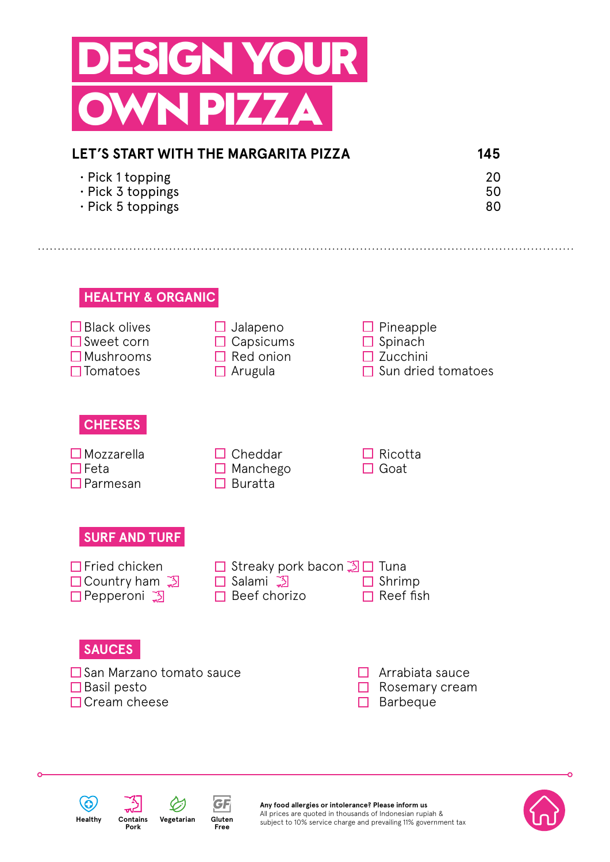<span id="page-6-0"></span>

| LET'S START WITH THE MARGARITA PIZZA | 145 |
|--------------------------------------|-----|
| $\cdot$ Pick 1 topping               | 20  |
| $\cdot$ Pick 3 toppings              | 50  |
| $\cdot$ Pick 5 toppings              | 80  |

#### **HEALTHY & ORGANIC**







**Any food allergies or intolerance? Please inform us** All prices are quoted in thousands of Indonesian rupiah & subject to 10% service charge and prevailing 11% government tax

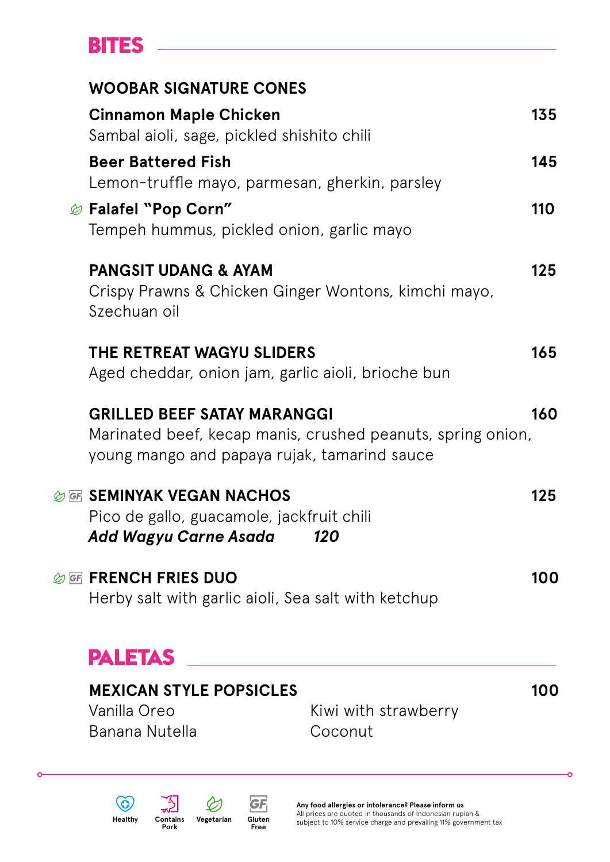## **BITES**

| <b>WOOBAR SIGNATURE CONES</b>                                                                             |                                                             |     |
|-----------------------------------------------------------------------------------------------------------|-------------------------------------------------------------|-----|
| <b>Cinnamon Maple Chicken</b><br>Sambal aioli, sage, pickled shishito chili                               |                                                             | 135 |
| <b>Beer Battered Fish</b><br>Lemon-truffle mayo, parmesan, gherkin, parsley                               |                                                             | 145 |
| <i><b> i</b></i> Falafel "Pop Corn"<br>Tempeh hummus, pickled onion, garlic mayo                          |                                                             | 110 |
| <b>PANGSIT UDANG &amp; AYAM</b><br>Crispy Prawns & Chicken Ginger Wontons, kimchi mayo,<br>Szechuan oil   |                                                             | 125 |
| THE RETREAT WAGYU SLIDERS<br>Aged cheddar, onion jam, garlic aioli, brioche bun                           |                                                             | 165 |
| <b>GRILLED BEEF SATAY MARANGGI</b><br>young mango and papaya rujak, tamarind sauce                        | Marinated beef, kecap manis, crushed peanuts, spring onion, | 160 |
| <b>OF SEMINYAK VEGAN NACHOS</b><br>Pico de gallo, guacamole, jackfruit chili<br>Add Wagyu Carne Asada 120 |                                                             | 125 |
| <b>参函 FRENCH FRIES DUO</b><br>Herby salt with garlic aioli, Sea salt with ketchup                         |                                                             | 100 |
| <b>PALETAS</b>                                                                                            |                                                             |     |
| <b>MEXICAN STYLE POPSICLES</b><br>Vanilla Oreo<br><b>Banana Nutella</b>                                   | Kiwi with strawberry<br>Coconut                             | 100 |

 $\circledcirc$ 

 $\epsilon$ 



ò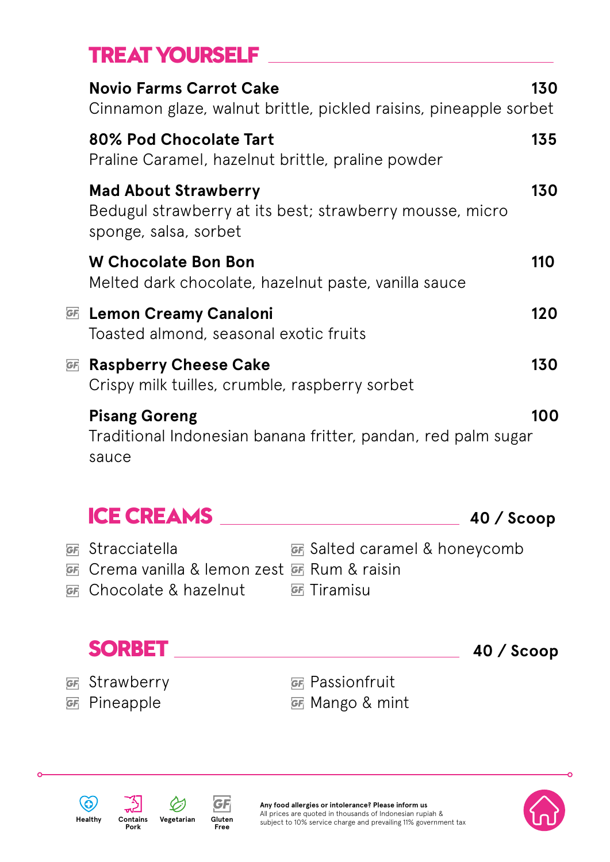## **TREAT YOURSELF**

|    | <b>Novio Farms Carrot Cake</b><br>Cinnamon glaze, walnut brittle, pickled raisins, pineapple sorbet              | 130 |
|----|------------------------------------------------------------------------------------------------------------------|-----|
|    | 80% Pod Chocolate Tart<br>Praline Caramel, hazelnut brittle, praline powder                                      | 135 |
|    | <b>Mad About Strawberry</b><br>Bedugul strawberry at its best; strawberry mousse, micro<br>sponge, salsa, sorbet | 130 |
|    | <b>W Chocolate Bon Bon</b><br>Melted dark chocolate, hazelnut paste, vanilla sauce                               | 110 |
|    | <b><i>G</i></b> Lemon Creamy Canaloni<br>Toasted almond, seasonal exotic fruits                                  | 120 |
| GF | <b>Raspberry Cheese Cake</b><br>Crispy milk tuilles, crumble, raspberry sorbet                                   | 130 |
|    | <b>Pisang Goreng</b><br>Traditional Indonesian banana fritter, pandan, red palm sugar<br>sauce                   | 100 |

| <b>ICE CREAMS</b>                           |                                      | $40 /$ Scoop |
|---------------------------------------------|--------------------------------------|--------------|
| <b>GF</b> Stracciatella                     | <b>EF</b> Salted caramel & honeycomb |              |
| G Crema vanilla & lemon zest G Rum & raisin |                                      |              |
| <b><i>GF</i></b> Chocolate & hazelnut       | <u>ச</u> ே Tiramisu                  |              |
|                                             |                                      |              |
|                                             |                                      |              |





**Gluten Free**

 $GF$ 



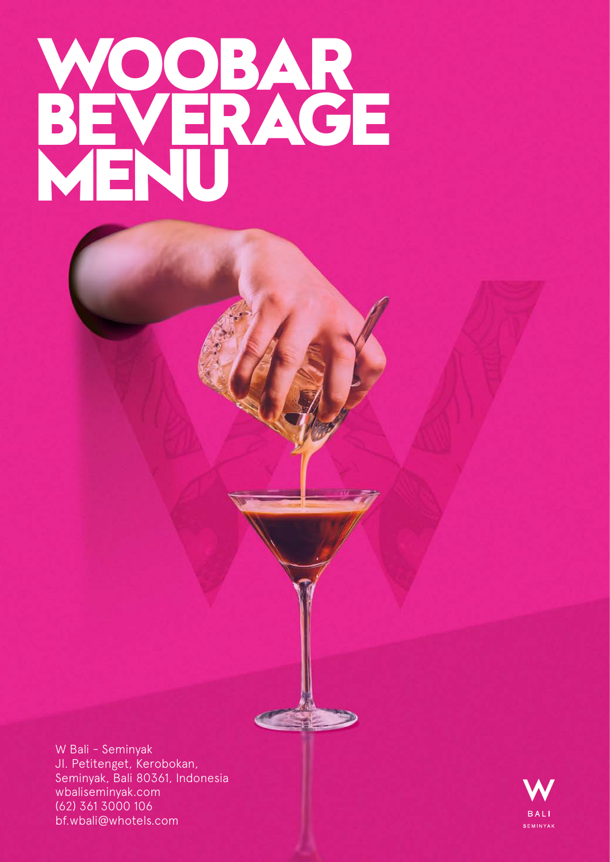# **WOOBAR BEVERAGE MENU**

W Bali - Seminyak Jl. Petitenget, Kerobokan, Seminyak, Bali 80361, Indonesia wbaliseminyak.com (62) 361 3000 106 bf.wbali@whotels.com

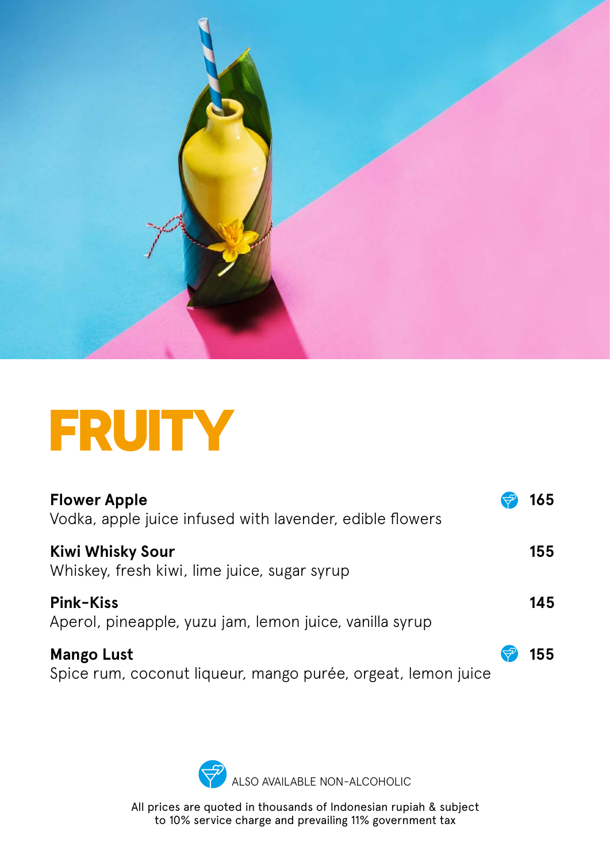

## **FRUITY**

| <b>Flower Apple</b><br>Vodka, apple juice infused with lavender, edible flowers   | 165 |
|-----------------------------------------------------------------------------------|-----|
| <b>Kiwi Whisky Sour</b><br>Whiskey, fresh kiwi, lime juice, sugar syrup           | 155 |
| <b>Pink-Kiss</b><br>Aperol, pineapple, yuzu jam, lemon juice, vanilla syrup       | 145 |
| <b>Mango Lust</b><br>Spice rum, coconut liqueur, mango purée, orgeat, lemon juice | 155 |

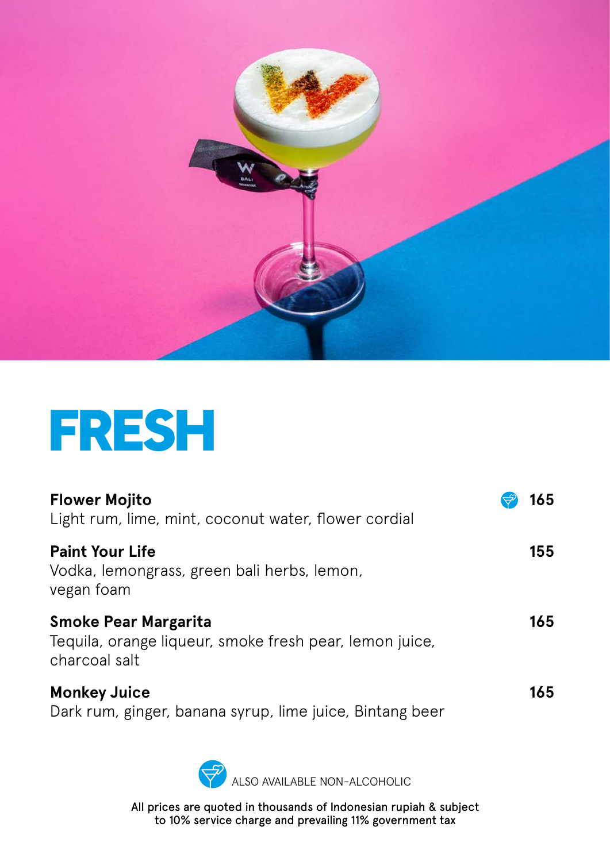

## **FRESH**

| <b>Flower Mojito</b><br>Light rum, lime, mint, coconut water, flower cordial                            | 165 |
|---------------------------------------------------------------------------------------------------------|-----|
| <b>Paint Your Life</b><br>Vodka, lemongrass, green bali herbs, lemon,<br>vegan foam                     | 155 |
| <b>Smoke Pear Margarita</b><br>Tequila, orange liqueur, smoke fresh pear, lemon juice,<br>charcoal salt | 165 |
| <b>Monkey Juice</b><br>Dark rum, ginger, banana syrup, lime juice, Bintang beer                         | 165 |

ALSO AVAILABLE NON-ALCOHOLIC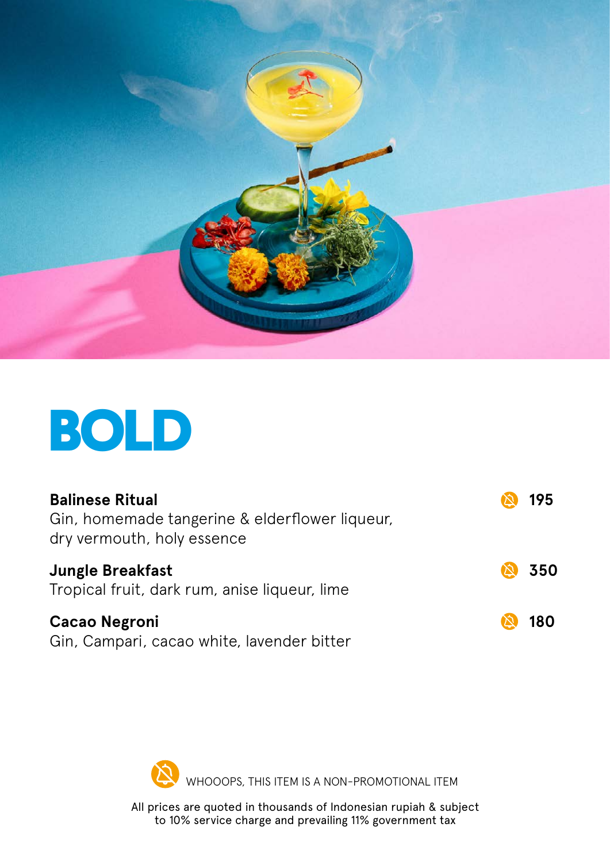

## **BOLD**

| <b>Balinese Ritual</b><br>Gin, homemade tangerine & elderflower liqueur,<br>dry vermouth, holy essence | 195 |
|--------------------------------------------------------------------------------------------------------|-----|
| <b>Jungle Breakfast</b><br>Tropical fruit, dark rum, anise liqueur, lime                               | 350 |
| <b>Cacao Negroni</b><br>Gin, Campari, cacao white, lavender bitter                                     | 180 |

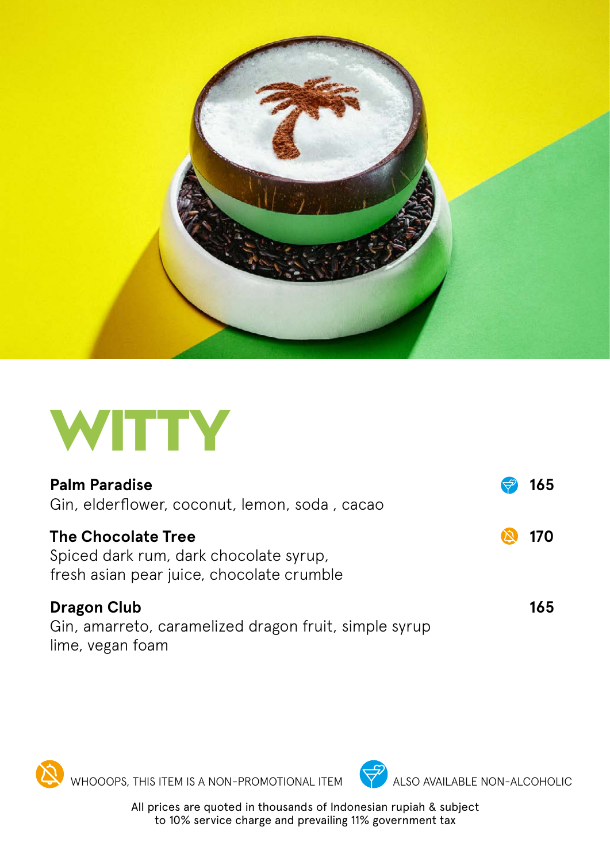



| <b>Palm Paradise</b><br>Gin, elderflower, coconut, lemon, soda, cacao                                            |             | 165 |
|------------------------------------------------------------------------------------------------------------------|-------------|-----|
| <b>The Chocolate Tree</b><br>Spiced dark rum, dark chocolate syrup,<br>fresh asian pear juice, chocolate crumble | $\boxtimes$ | 170 |
| <b>Dragon Club</b><br>Gin, amarreto, caramelized dragon fruit, simple syrup                                      |             | 165 |

lime, vegan foam

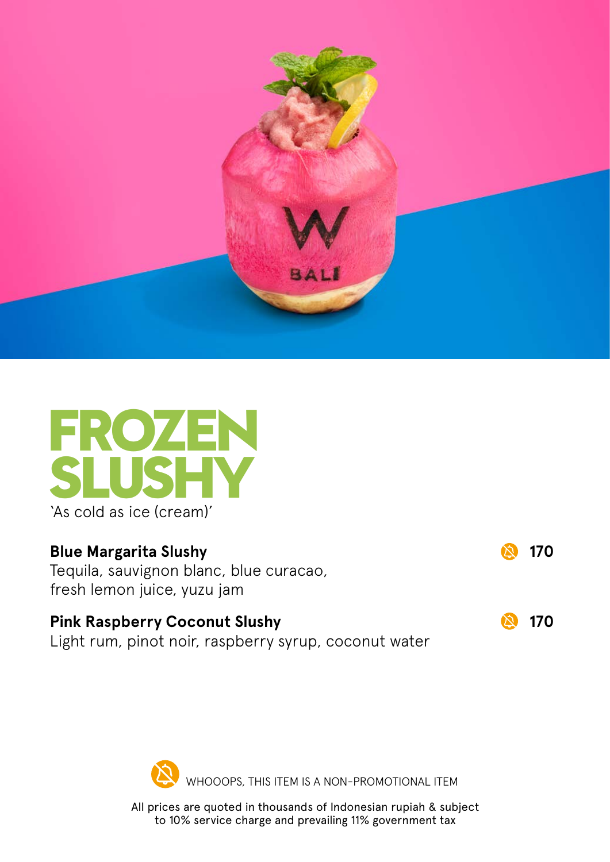



#### **Blue Margarita Slushy 170**

Tequila, sauvignon blanc, blue curacao, fresh lemon juice, yuzu jam

#### **Pink Raspberry Coconut Slushy 170**

Light rum, pinot noir, raspberry syrup, coconut water

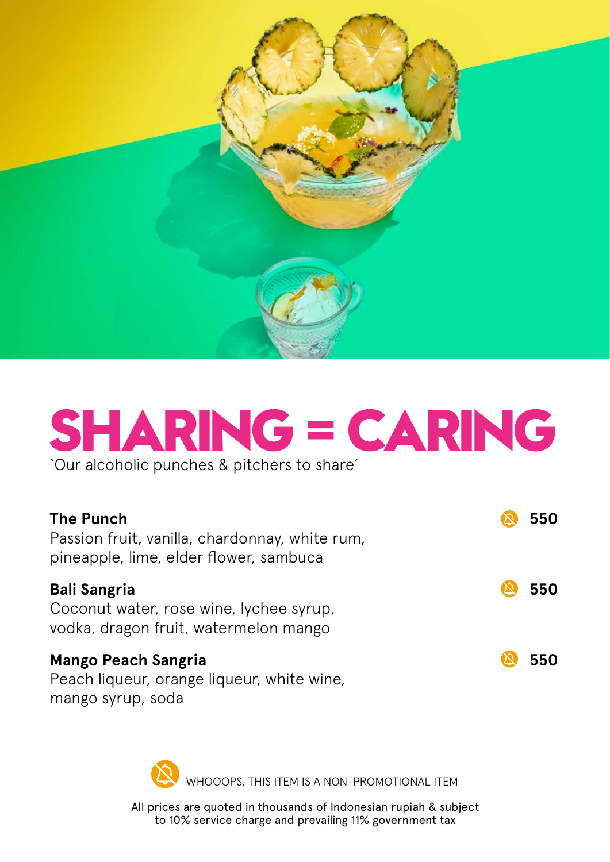

# **SHARING = CARING**

'Our alcoholic punches & pitchers to share'

| <b>The Punch</b><br>Passion fruit, vanilla, chardonnay, white rum,<br>pineapple, lime, elder flower, sambuca | 550 |
|--------------------------------------------------------------------------------------------------------------|-----|
| <b>Bali Sangria</b><br>Coconut water, rose wine, lychee syrup,<br>vodka, dragon fruit, watermelon mango      | 550 |
| <b>Mango Peach Sangria</b><br>Peach liqueur, orange liqueur, white wine,                                     | 550 |

mango syrup, soda

WHOOOPS, THIS ITEM IS A NON-PROMOTIONAL ITEM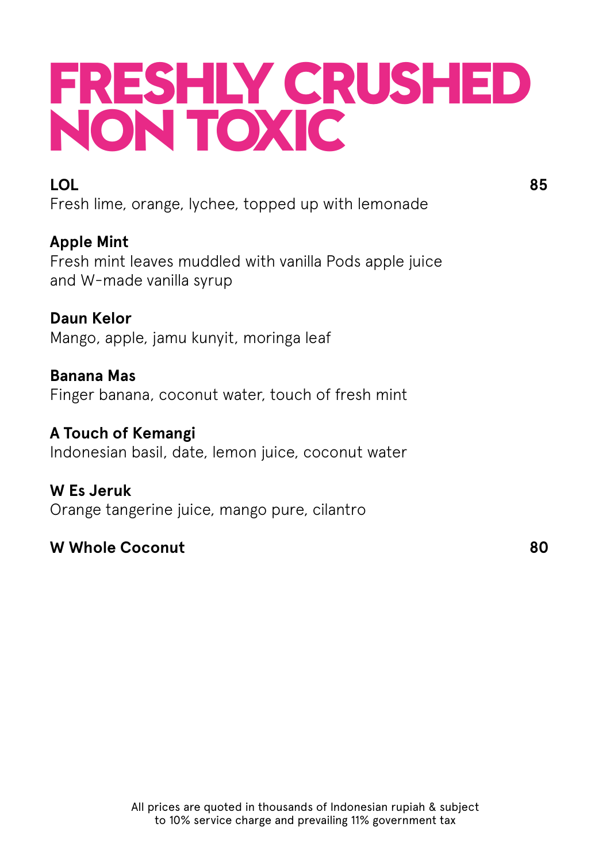## **FRESHLY CRUSHED NON TOXIC**

## **LOL** 85

Fresh lime, orange, lychee, topped up with lemonade

## **Apple Mint**

Fresh mint leaves muddled with vanilla Pods apple juice and W-made vanilla syrup

### **Daun Kelor**

Mango, apple, jamu kunyit, moringa leaf

**Banana Mas** Finger banana, coconut water, touch of fresh mint

#### **A Touch of Kemangi** Indonesian basil, date, lemon juice, coconut water

**W Es Jeruk** Orange tangerine juice, mango pure, cilantro

## **W Whole Coconut 80**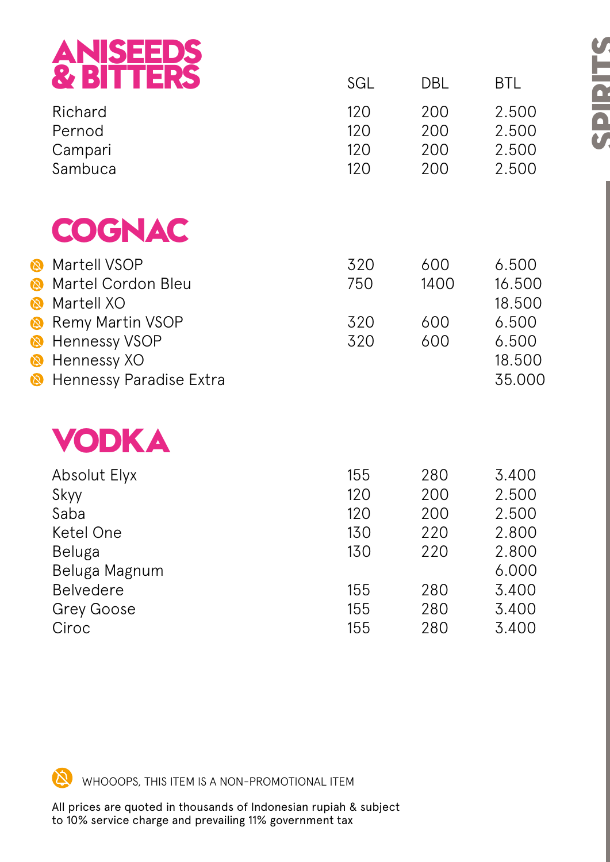|                                                         | <b>ANISEEDS<br/>&amp; BITTERS</b>                                                         |                                 |                                 |                                                    |
|---------------------------------------------------------|-------------------------------------------------------------------------------------------|---------------------------------|---------------------------------|----------------------------------------------------|
|                                                         |                                                                                           | SGL                             | <b>DBL</b>                      | <b>BTL</b>                                         |
|                                                         | Richard<br>Pernod<br>Campari<br>Sambuca                                                   | 120<br>120<br>120<br>120        | 200<br>200<br>200<br>200        | 2.500<br>2.500<br>2.500<br>2.500                   |
|                                                         | COGNAC                                                                                    |                                 |                                 |                                                    |
| $\bm{\omega}$<br>$\bm{\omega}$<br>$\boldsymbol{\omega}$ | Martell VSOP<br>Martel Cordon Bleu<br>Martell XO                                          | 320<br>750                      | 600<br>1400                     | 6.500<br>16.500<br>18.500                          |
| 囟<br>$\bigcirc$<br>$\mathcal{D}$<br>闵                   | <b>Remy Martin VSOP</b><br><b>Hennessy VSOP</b><br>Hennessy XO<br>Hennessy Paradise Extra | 320<br>320                      | 600<br>600                      | 6.500<br>6.500<br>18.500<br>35.000                 |
|                                                         | VODKA                                                                                     |                                 |                                 |                                                    |
|                                                         | <b>Absolut Elyx</b><br>Skyy<br>Saba<br>Ketel One<br><b>Beluga</b><br>Beluga Magnum        | 155<br>120<br>120<br>130<br>130 | 280<br>200<br>200<br>220<br>220 | 3.400<br>2.500<br>2.500<br>2.800<br>2.800<br>6.000 |
|                                                         | <b>Belvedere</b><br><b>Grey Goose</b><br>Ciroc                                            | 155<br>155<br>155               | 280<br>280<br>280               | 3.400<br>3.400<br>3.400                            |

**SPIRITS**

 $\cancel{\mathcal{N}}$ WHOOOPS, THIS ITEM IS A NON-PROMOTIONAL ITEM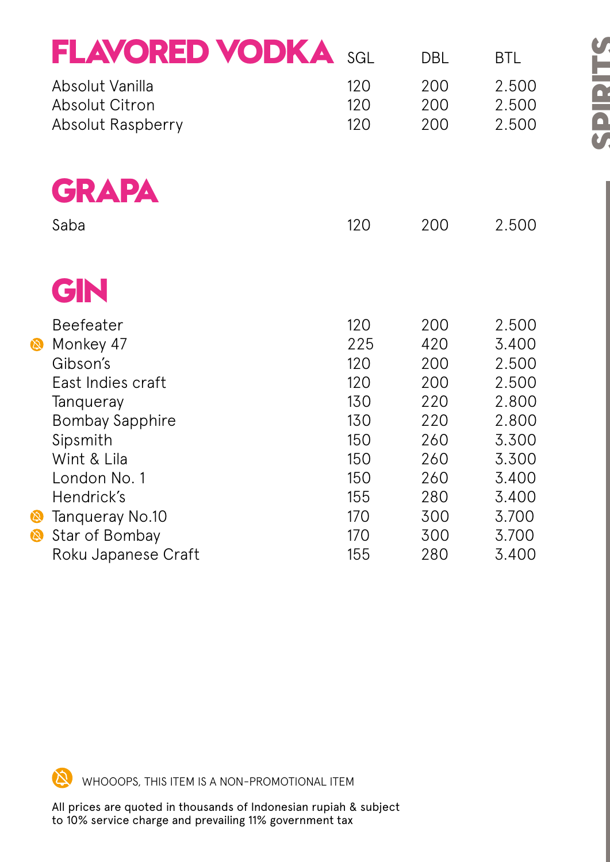|                            | <b>FLAVORED VODKA</b>    | SGL | <b>DBL</b> | <b>BTL</b> |
|----------------------------|--------------------------|-----|------------|------------|
|                            | Absolut Vanilla          | 120 | 200        | 2.500      |
|                            | <b>Absolut Citron</b>    | 120 | 200        | 2.500      |
|                            | <b>Absolut Raspberry</b> | 120 | 200        | 2.500      |
|                            |                          |     |            |            |
|                            | <b>GRAPA</b>             |     |            |            |
|                            | Saba                     | 120 | 200        | 2.500      |
|                            |                          |     |            |            |
|                            | GN                       |     |            |            |
|                            | <b>Beefeater</b>         | 120 | 200        | 2.500      |
| $\mathbf{\Omega}$          | Monkey 47                | 225 | 420        | 3.400      |
|                            | Gibson's                 | 120 | 200        | 2.500      |
|                            | East Indies craft        | 120 | 200        | 2.500      |
|                            | Tanqueray                | 130 | 220        | 2.800      |
|                            | <b>Bombay Sapphire</b>   | 130 | 220        | 2.800      |
|                            | Sipsmith                 | 150 | 260        | 3.300      |
|                            | Wint & Lila              | 150 | 260        | 3.300      |
|                            | London No. 1             | 150 | 260        | 3.400      |
|                            | Hendrick's               | 155 | 280        | 3.400      |
| 闵                          | Tanqueray No.10          | 170 | 300        | 3.700      |
| $\boldsymbol{\varnothing}$ | Star of Bombay           | 170 | 300        | 3.700      |
|                            | Roku Japanese Craft      | 155 | 280        | 3.400      |

**SPIRITS**

 $\infty$ WHOOOPS, THIS ITEM IS A NON-PROMOTIONAL ITEM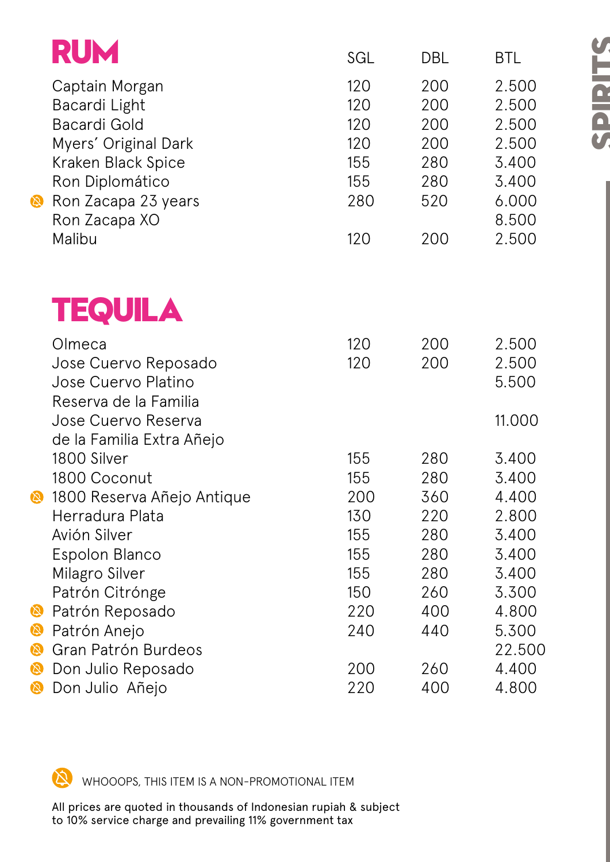|                    | <b>RUM</b>                                                                                                                                     | SGL                                           | DBL                                           | <b>BTL</b>                                                           |
|--------------------|------------------------------------------------------------------------------------------------------------------------------------------------|-----------------------------------------------|-----------------------------------------------|----------------------------------------------------------------------|
| $\bigcirc$         | Captain Morgan<br>Bacardi Light<br><b>Bacardi Gold</b><br>Myers' Original Dark<br>Kraken Black Spice<br>Ron Diplomático<br>Ron Zacapa 23 years | 120<br>120<br>120<br>120<br>155<br>155<br>280 | 200<br>200<br>200<br>200<br>280<br>280<br>520 | 2.500<br>2.500<br>2.500<br>2.500<br>3.400<br>3.400<br>6.000<br>8.500 |
|                    | Ron Zacapa XO<br>Malibu                                                                                                                        | 120                                           | 200                                           | 2.500                                                                |
|                    | <b>TEQUILA</b>                                                                                                                                 |                                               |                                               |                                                                      |
|                    | Olmeca<br>Jose Cuervo Reposado<br>Jose Cuervo Platino<br>Reserva de la Familia                                                                 | 120<br>120                                    | 200<br>200                                    | 2.500<br>2.500<br>5.500                                              |
|                    | Jose Cuervo Reserva<br>de la Familia Extra Añejo                                                                                               |                                               |                                               | 11.000                                                               |
|                    | 1800 Silver<br>1800 Coconut                                                                                                                    | 155<br>155                                    | 280<br>280                                    | 3.400<br>3.400                                                       |
| (2)                | 1800 Reserva Añejo Antique<br>Herradura Plata<br>Avión Silver<br>Espolon Blanco<br>Milagro Silver<br>Patrón Citrónge                           | 200<br>130<br>155<br>155<br>155<br>150        | 360<br>220<br>280<br>280<br>280<br>260        | 4.400<br>2.800<br>3.400<br>3.400<br>3.400<br>3.300                   |
| 田                  | Patrón Reposado                                                                                                                                | 220                                           | 400                                           | 4.800                                                                |
| Ø<br>闵             | Patrón Anejo<br>Gran Patrón Burdeos                                                                                                            | 240                                           | 440                                           | 5.300<br>22.500                                                      |
| 闵<br>$\varnothing$ | Don Julio Reposado<br>Don Julio Añejo                                                                                                          | 200<br>220                                    | 260<br>400                                    | 4.400<br>4.800                                                       |

 $\infty$ WHOOOPS, THIS ITEM IS A NON-PROMOTIONAL ITEM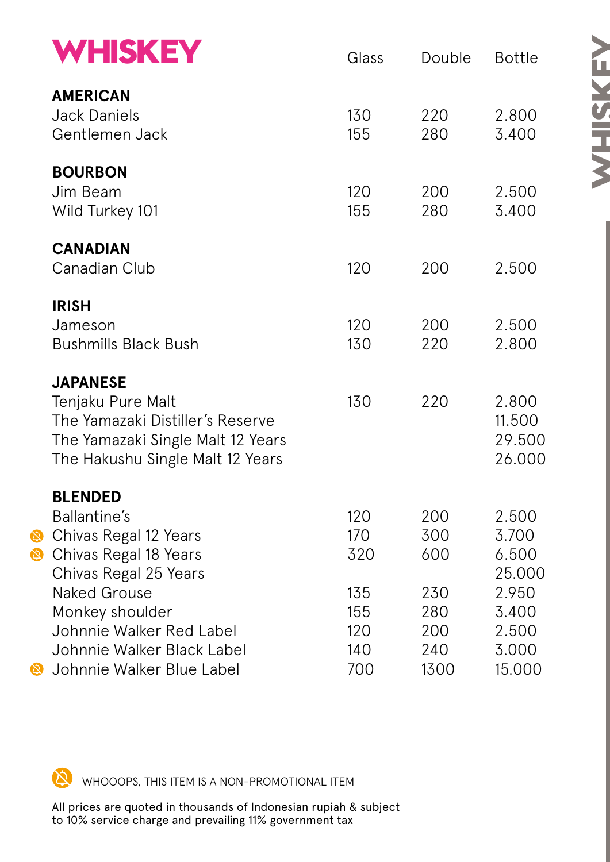|        | <b>WHISKEY</b>                                                                                                                                                                  | Glass                                  | Double                                 | <b>Bottle</b>                                                |
|--------|---------------------------------------------------------------------------------------------------------------------------------------------------------------------------------|----------------------------------------|----------------------------------------|--------------------------------------------------------------|
|        | <b>AMERICAN</b><br><b>Jack Daniels</b><br>Gentlemen Jack                                                                                                                        | 130<br>155                             | 220<br>280                             | 2.800<br>3.400                                               |
|        | <b>BOURBON</b><br>Jim Beam<br>Wild Turkey 101                                                                                                                                   | 120<br>155                             | 200<br>280                             | 2.500<br>3.400                                               |
|        | <b>CANADIAN</b><br><b>Canadian Club</b>                                                                                                                                         | 120                                    | 200                                    | 2.500                                                        |
|        | <b>IRISH</b><br>Jameson<br><b>Bushmills Black Bush</b>                                                                                                                          | 120<br>130                             | 200<br>220                             | 2.500<br>2.800                                               |
|        | <b>JAPANESE</b><br>Tenjaku Pure Malt<br>The Yamazaki Distiller's Reserve<br>The Yamazaki Single Malt 12 Years<br>The Hakushu Single Malt 12 Years                               | 130                                    | 220                                    | 2.800<br>11.500<br>29.500<br>26.000                          |
| Ø<br>Ø | <b>BLENDED</b><br>Ballantine's<br>Chivas Regal 12 Years<br>Chivas Regal 18 Years<br>Chivas Regal 25 Years<br><b>Naked Grouse</b><br>Monkey shoulder<br>Johnnie Walker Red Label | 120<br>170<br>320<br>135<br>155<br>120 | 200<br>300<br>600<br>230<br>280<br>200 | 2.500<br>3.700<br>6.500<br>25.000<br>2.950<br>3.400<br>2.500 |
| 回      | Johnnie Walker Black Label<br>Johnnie Walker Blue Label                                                                                                                         | 140<br>700                             | 240<br>1300                            | 3.000<br>15.000                                              |

 $\infty$ WHOOOPS, THIS ITEM IS A NON-PROMOTIONAL ITEM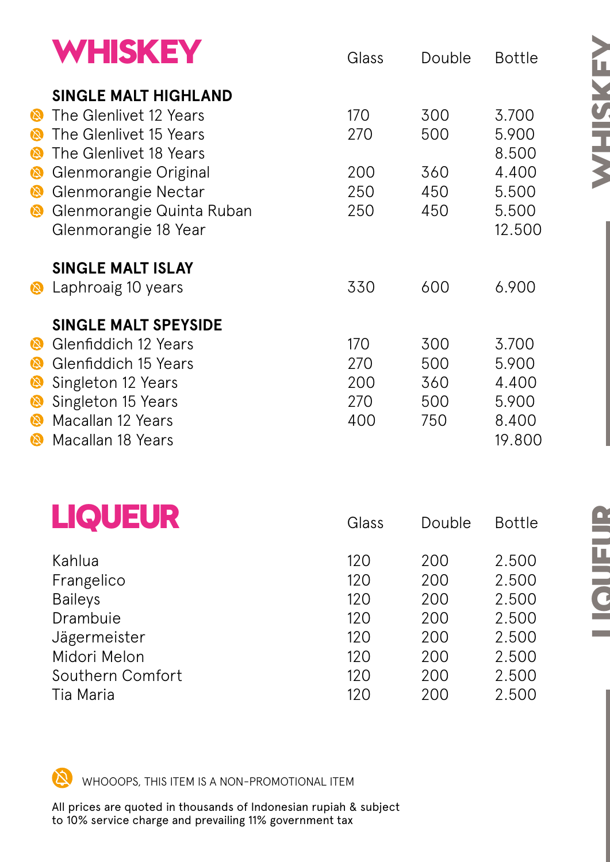|                                                         | <b>WHISKEY</b>                                                                                                                                                                                                 | Glass                           | Double                          | <b>Bottle</b>                                                |
|---------------------------------------------------------|----------------------------------------------------------------------------------------------------------------------------------------------------------------------------------------------------------------|---------------------------------|---------------------------------|--------------------------------------------------------------|
| 図<br>$\boldsymbol{\omega}$<br>図<br>闵<br>図<br>$\bigcirc$ | <b>SINGLE MALT HIGHLAND</b><br>The Glenlivet 12 Years<br>The Glenlivet 15 Years<br>The Glenlivet 18 Years<br>Glenmorangie Original<br>Glenmorangie Nectar<br>Glenmorangie Quinta Ruban<br>Glenmorangie 18 Year | 170<br>270<br>200<br>250<br>250 | 300<br>500<br>360<br>450<br>450 | 3.700<br>5.900<br>8.500<br>4.400<br>5.500<br>5.500<br>12.500 |
| $\boldsymbol{\omega}$                                   | <b>SINGLE MALT ISLAY</b><br>Laphroaig 10 years                                                                                                                                                                 | 330                             | 600                             | 6.900                                                        |
| 図<br>$\bm{\omega}$<br>闵<br>Ø<br>$\boldsymbol{\omega}$   | SINGLE MALT SPEYSIDE<br><b>Glenfiddich 12 Years</b><br>Glenfiddich 15 Years<br>Singleton 12 Years<br>Singleton 15 Years<br>Macallan 12 Years<br>Macallan 18 Years                                              | 170<br>270<br>200<br>270<br>400 | 300<br>500<br>360<br>500<br>750 | 3.700<br>5.900<br>4.400<br>5.900<br>8.400<br>19.800          |

| <b>LIQUEUR</b>   | Glass | Double | <b>Bottle</b> |
|------------------|-------|--------|---------------|
| Kahlua           | 120   | 200    | 2.500         |
| Frangelico       | 120   | 200    | 2.500         |
| <b>Baileys</b>   | 120   | 200    | 2.500         |
| Drambuie         | 120   | 200    | 2.500         |
| Jägermeister     | 120   | 200    | 2.500         |
| Midori Melon     | 120   | 200    | 2.500         |
| Southern Comfort | 120   | 200    | 2.500         |
| Tia Maria        | 120   | 200    | 2.500         |

门 WHOOOPS, THIS ITEM IS A NON-PROMOTIONAL ITEM

All prices are quoted in thousands of Indonesian rupiah & subject to 10% service charge and prevailing 11% government tax

**WHISKEY**

**NSKEY**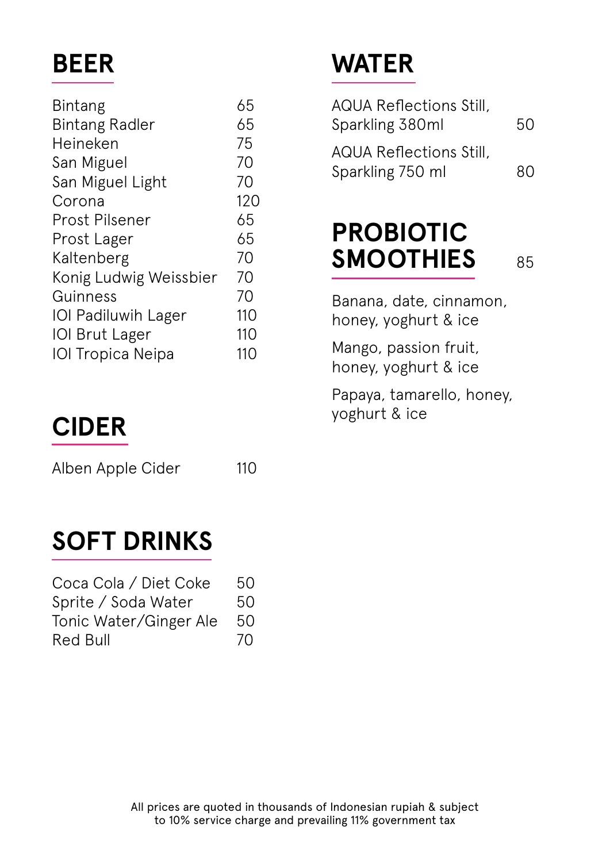## **BEER**

| <b>Bintang</b>             | 65  |
|----------------------------|-----|
| <b>Bintang Radler</b>      | 65  |
| Heineken                   | 75  |
| San Miguel                 | 70  |
| San Miguel Light           | 70  |
| Corona                     | 120 |
| <b>Prost Pilsener</b>      | 65  |
| Prost Lager                | 65  |
| Kaltenberg                 | 70  |
| Konig Ludwig Weissbier     | 70  |
| Guinness                   | 70  |
| <b>IOI Padiluwih Lager</b> | 110 |
| <b>IOI Brut Lager</b>      | 110 |
| <b>IOI Tropica Neipa</b>   | 110 |
|                            |     |

## **CIDER**

Alben Apple Cider 110

## **SOFT DRINKS**  j

| Coca Cola / Diet Coke  | 50 |
|------------------------|----|
| Sprite / Soda Water    | 50 |
| Tonic Water/Ginger Ale | 50 |
| Red Bull               | 70 |

## **WATER**

| AQUA Reflections Still,                     |    |
|---------------------------------------------|----|
| Sparkling 380ml                             | 50 |
| AQUA Reflections Still,<br>Sparkling 750 ml | 80 |

## **PROBIOTIC SMOOTHIES** 85

Banana, date, cinnamon, honey, yoghurt & ice

Mango, passion fruit, honey, yoghurt & ice

Papaya, tamarello, honey, yoghurt & ice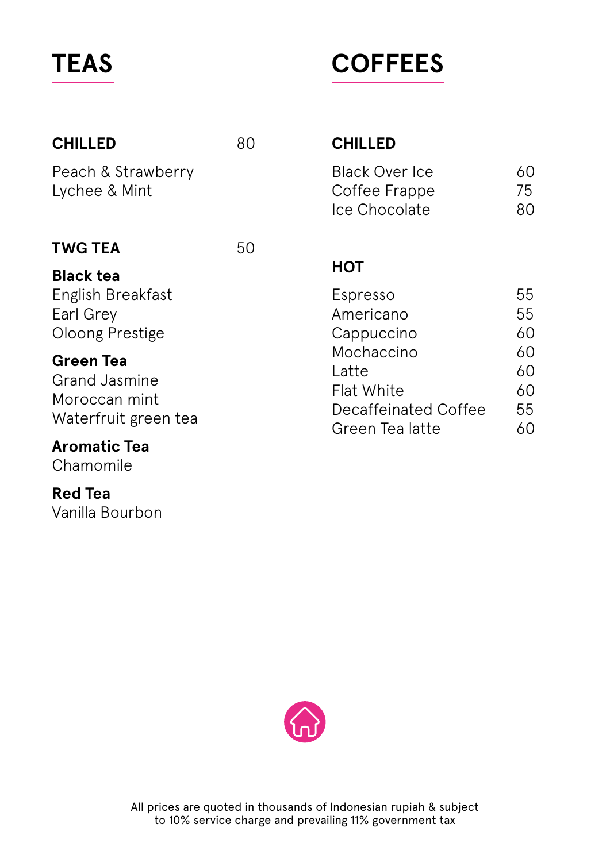## **TEAS**

## **COFFEES**

| <b>CHILLED</b>                                                                    | 80 | <b>CHILLED</b>                                                                      |                            |
|-----------------------------------------------------------------------------------|----|-------------------------------------------------------------------------------------|----------------------------|
| Peach & Strawberry<br>Lychee & Mint                                               |    | <b>Black Over Ice</b><br>Coffee Frappe<br>Ice Chocolate                             | 60<br>75<br>80             |
| <b>TWG TEA</b>                                                                    | 50 |                                                                                     |                            |
| <b>Black tea</b><br>English Breakfast<br>Earl Grey<br>Oloong Prestige             |    | <b>HOT</b><br>Espresso<br>Americano<br>Cappuccino                                   | 55<br>55<br>60             |
| <b>Green Tea</b><br><b>Grand Jasmine</b><br>Moroccan mint<br>Waterfruit green tea |    | Mochaccino<br>Latte<br><b>Flat White</b><br>Decaffeinated Coffee<br>Green Tea latte | 60<br>60<br>60<br>55<br>60 |
| <b>Aromatic Tea</b>                                                               |    |                                                                                     |                            |

Chamomile

**Red Tea** Vanilla Bourbon

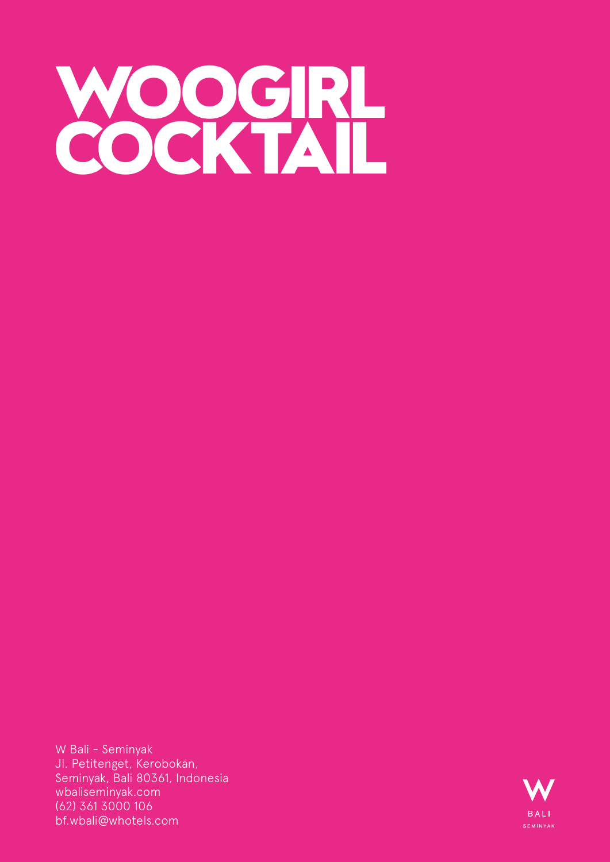<span id="page-24-0"></span>

W Bali - Seminyak Jl. Petitenget, Kerobokan, Seminyak, Bali 80361, Indonesia wbaliseminyak.com (62) 361 3000 106 bf.wbali@whotels.com

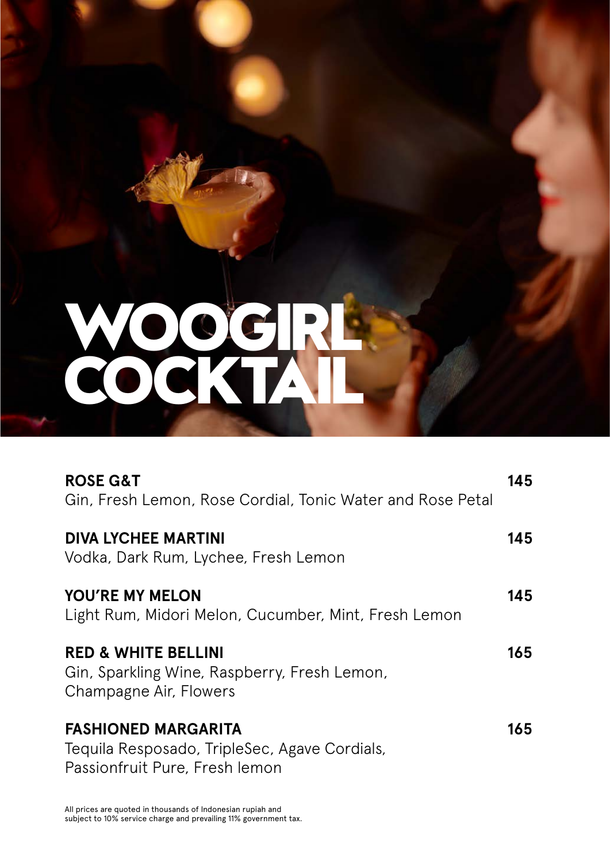# **WOOGIRL COCKTAIL**

| <b>ROSE G&amp;T</b><br>Gin, Fresh Lemon, Rose Cordial, Tonic Water and Rose Petal                             | 145 |
|---------------------------------------------------------------------------------------------------------------|-----|
| <b>DIVA LYCHEE MARTINI</b><br>Vodka, Dark Rum, Lychee, Fresh Lemon                                            | 145 |
| <b>YOU'RE MY MELON</b><br>Light Rum, Midori Melon, Cucumber, Mint, Fresh Lemon                                | 145 |
| <b>RED &amp; WHITE BELLINI</b><br>Gin, Sparkling Wine, Raspberry, Fresh Lemon,<br>Champagne Air, Flowers      | 165 |
| <b>FASHIONED MARGARITA</b><br>Tequila Resposado, TripleSec, Agave Cordials,<br>Passionfruit Pure, Fresh lemon | 165 |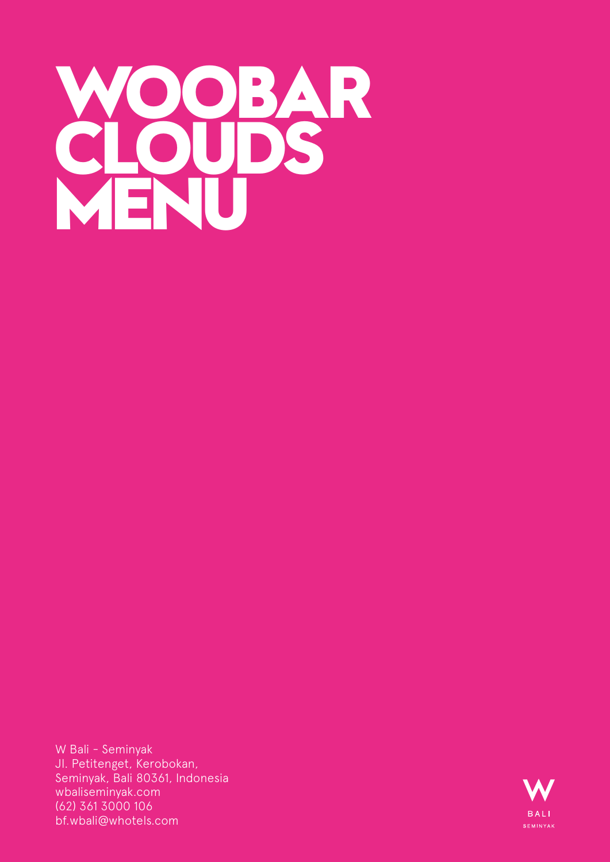## **WOOBAR CLOUDS MENU**

W Bali - Seminyak Jl. Petitenget, Kerobokan, Seminyak, Bali 80361, Indonesia wbaliseminyak.com (62) 361 3000 106 bf.wbali@whotels.com

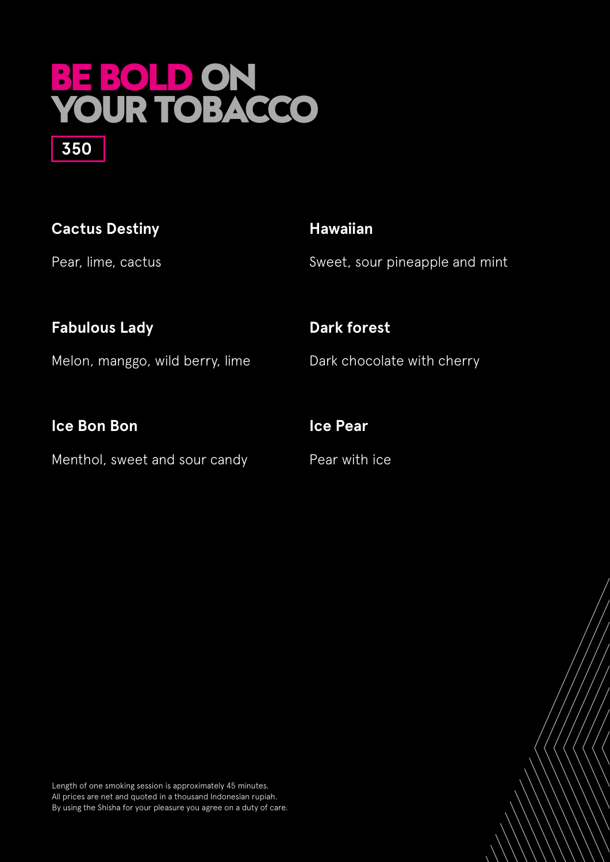## **BE BOLD ON YOUR TOBACCO 350**

| <b>Cactus Destiny</b> | <b>Hawaiian</b>                |
|-----------------------|--------------------------------|
| Pear, lime, cactus    | Sweet, sour pineapple and mint |
| <b>Fabulous Lady</b>  | <b>Dark forest</b>             |

Melon, manggo, wild berry, lime

**Ice Bon Bon**

Menthol, sweet and sour candy

Dark chocolate with cherry

Pear with ice

**Ice Pear**

Length of one smoking session is approximately 45 minutes. All prices are net and quoted in a thousand Indonesian rupiah. By using the Shisha for your pleasure you agree on a duty of care.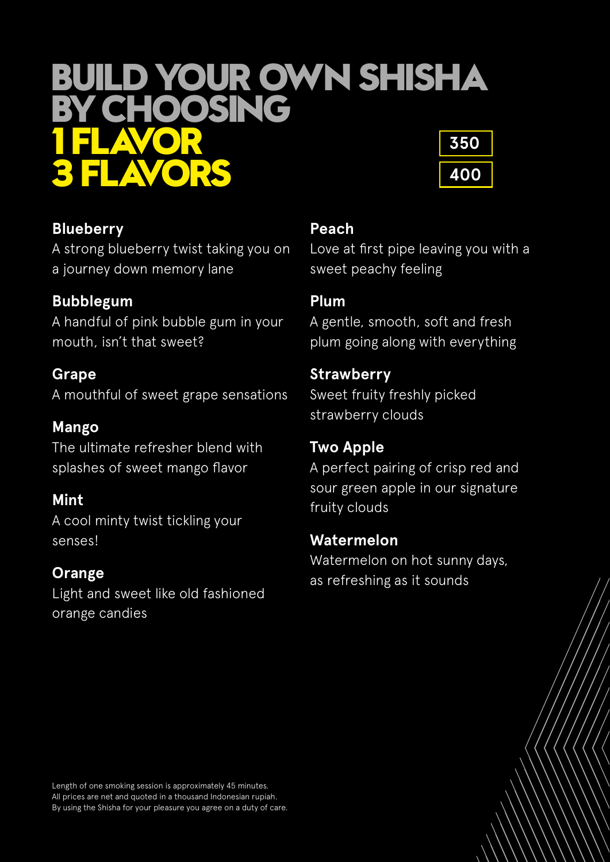## **BUILD YOUR OWN SHISHA BY CHOOSING 1 FLAVOR 3 FLAVORS 350 400**



**Blueberry**  A strong blueberry twist taking you on a journey down memory lane

## **Bubblegum**

A handful of pink bubble gum in your mouth, isn't that sweet?

**Grape**  A mouthful of sweet grape sensations

**Mango**  The ultimate refresher blend with splashes of sweet mango flavor

## **Mint**

A cool minty twist tickling your senses!

## **Orange**

Light and sweet like old fashioned orange candies

### **Peach**

Love at first pipe leaving you with a sweet peachy feeling

### **Plum**

A gentle, smooth, soft and fresh plum going along with everything

### **Strawberry**

Sweet fruity freshly picked strawberry clouds

### **Two Apple**

A perfect pairing of crisp red and sour green apple in our signature fruity clouds

#### **Watermelon**

Watermelon on hot sunny days, as refreshing as it sounds

Length of one smoking session is approximately 45 minutes. All prices are net and quoted in a thousand Indonesian rupiah. By using the Shisha for your pleasure you agree on a duty of care.